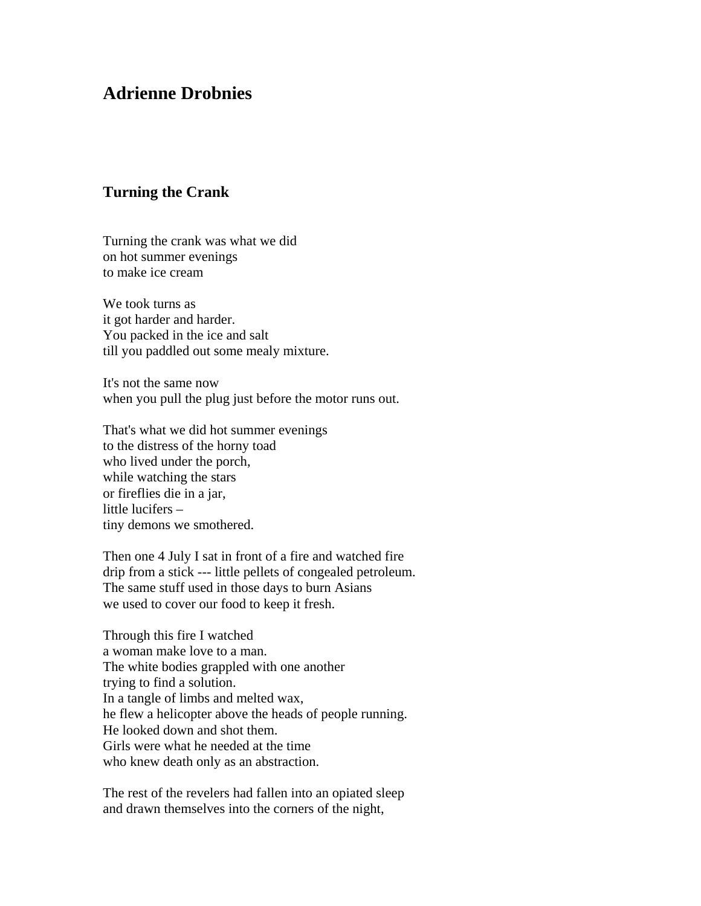## **Adrienne Drobnies**

## **Turning the Crank**

Turning the crank was what we did on hot summer evenings to make ice cream

We took turns as it got harder and harder. You packed in the ice and salt till you paddled out some mealy mixture.

It's not the same now when you pull the plug just before the motor runs out.

That's what we did hot summer evenings to the distress of the horny toad who lived under the porch, while watching the stars or fireflies die in a jar, little lucifers – tiny demons we smothered.

Then one 4 July I sat in front of a fire and watched fire drip from a stick --- little pellets of congealed petroleum. The same stuff used in those days to burn Asians we used to cover our food to keep it fresh.

Through this fire I watched a woman make love to a man. The white bodies grappled with one another trying to find a solution. In a tangle of limbs and melted wax, he flew a helicopter above the heads of people running. He looked down and shot them. Girls were what he needed at the time who knew death only as an abstraction.

The rest of the revelers had fallen into an opiated sleep and drawn themselves into the corners of the night,